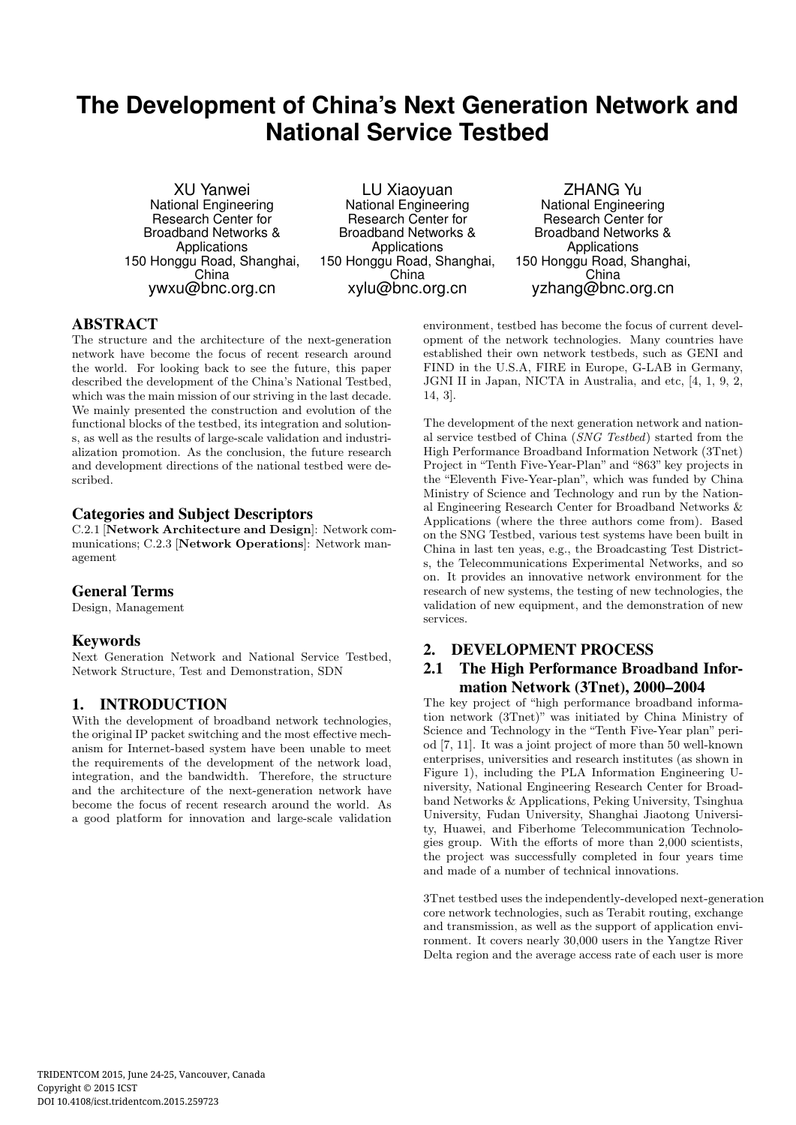# **The Development of China's Next Generation Network and National Service Testbed**

XU Yanwei National Engineering Research Center for Broadband Networks & Applications 150 Honggu Road, Shanghai, China ywxu@bnc.org.cn

LU Xiaoyuan National Engineering Research Center for Broadband Networks & Applications 150 Honggu Road, Shanghai, China xylu@bnc.org.cn

ZHANG Yu National Engineering Research Center for Broadband Networks & **Applications** 150 Honggu Road, Shanghai, China yzhang@bnc.org.cn

# ABSTRACT

The structure and the architecture of the next-generation network have become the focus of recent research around the world. For looking back to see the future, this paper described the development of the China's National Testbed, which was the main mission of our striving in the last decade. We mainly presented the construction and evolution of the functional blocks of the testbed, its integration and solutions, as well as the results of large-scale validation and industrialization promotion. As the conclusion, the future research and development directions of the national testbed were described.

### Categories and Subject Descriptors

C.2.1 [Network Architecture and Design]: Network communications; C.2.3 [Network Operations]: Network management

### General Terms

Design, Management

### Keywords

Next Generation Network and National Service Testbed, Network Structure, Test and Demonstration, SDN

# 1. INTRODUCTION

With the development of broadband network technologies, the original IP packet switching and the most effective mechanism for Internet-based system have been unable to meet the requirements of the development of the network load, integration, and the bandwidth. Therefore, the structure and the architecture of the next-generation network have become the focus of recent research around the world. As a good platform for innovation and large-scale validation

environment, testbed has become the focus of current development of the network technologies. Many countries have established their own network testbeds, such as GENI and FIND in the U.S.A, FIRE in Europe, G-LAB in Germany, JGNI II in Japan, NICTA in Australia, and etc, [4, 1, 9, 2, 14, 3].

The development of the next generation network and national service testbed of China (SNG Testbed) started from the High Performance Broadband Information Network (3Tnet) Project in "Tenth Five-Year-Plan" and "863" key projects in the "Eleventh Five-Year-plan", which was funded by China Ministry of Science and Technology and run by the National Engineering Research Center for Broadband Networks & Applications (where the three authors come from). Based on the SNG Testbed, various test systems have been built in China in last ten yeas, e.g., the Broadcasting Test Districts, the Telecommunications Experimental Networks, and so on. It provides an innovative network environment for the research of new systems, the testing of new technologies, the validation of new equipment, and the demonstration of new services.

# 2. DEVELOPMENT PROCESS

# 2.1 The High Performance Broadband Information Network (3Tnet), 2000–2004

The key project of "high performance broadband information network (3Tnet)" was initiated by China Ministry of Science and Technology in the "Tenth Five-Year plan" period [7, 11]. It was a joint project of more than 50 well-known enterprises, universities and research institutes (as shown in Figure 1), including the PLA Information Engineering University, National Engineering Research Center for Broadband Networks & Applications, Peking University, Tsinghua University, Fudan University, Shanghai Jiaotong University, Huawei, and Fiberhome Telecommunication Technologies group. With the efforts of more than 2,000 scientists, the project was successfully completed in four years time and made of a number of technical innovations.

3Tnet testbed uses the independently-developed next-generation core network technologies, such as Terabit routing, exchange and transmission, as well as the support of application environment. It covers nearly 30,000 users in the Yangtze River Delta region and the average access rate of each user is more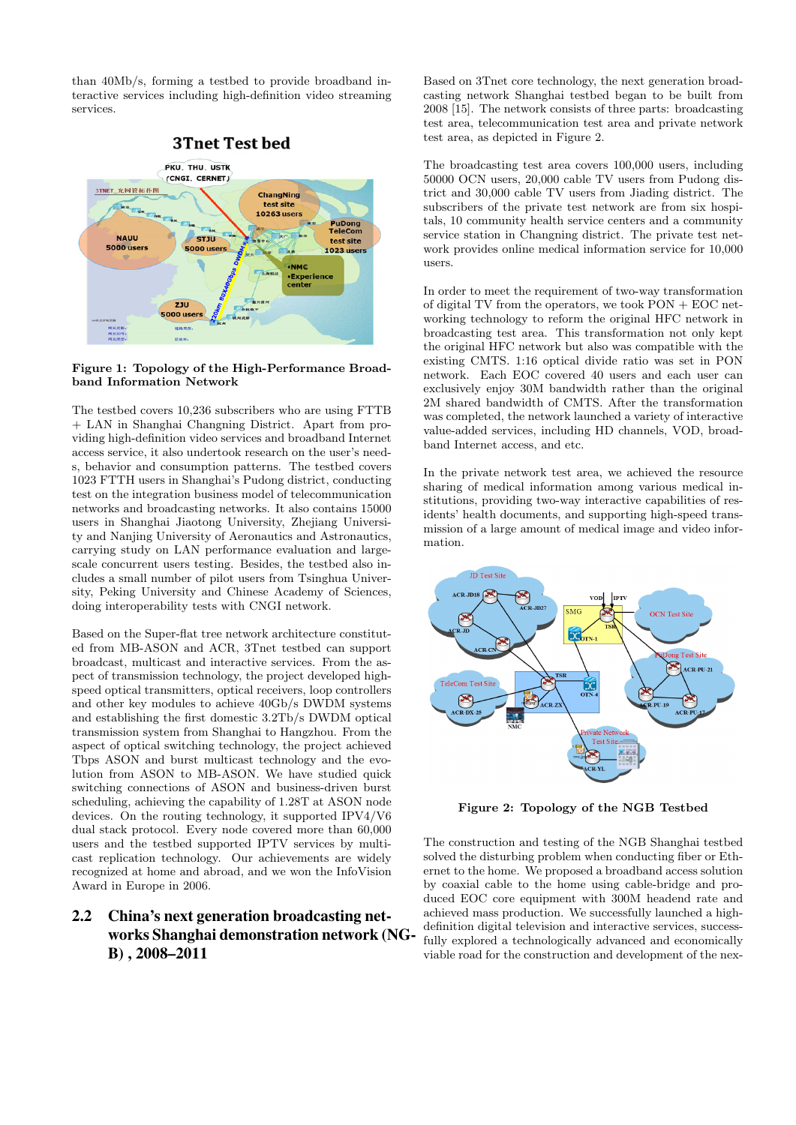than 40Mb/s, forming a testbed to provide broadband interactive services including high-definition video streaming services.



#### Figure 1: Topology of the High-Performance Broadband Information Network

The testbed covers 10,236 subscribers who are using FTTB + LAN in Shanghai Changning District. Apart from providing high-definition video services and broadband Internet access service, it also undertook research on the user's needs, behavior and consumption patterns. The testbed covers 1023 FTTH users in Shanghai's Pudong district, conducting test on the integration business model of telecommunication networks and broadcasting networks. It also contains 15000 users in Shanghai Jiaotong University, Zhejiang University and Nanjing University of Aeronautics and Astronautics, carrying study on LAN performance evaluation and largescale concurrent users testing. Besides, the testbed also includes a small number of pilot users from Tsinghua University, Peking University and Chinese Academy of Sciences, doing interoperability tests with CNGI network.

Based on the Super-flat tree network architecture constituted from MB-ASON and ACR, 3Tnet testbed can support broadcast, multicast and interactive services. From the aspect of transmission technology, the project developed highspeed optical transmitters, optical receivers, loop controllers and other key modules to achieve 40Gb/s DWDM systems and establishing the first domestic 3.2Tb/s DWDM optical transmission system from Shanghai to Hangzhou. From the aspect of optical switching technology, the project achieved Tbps ASON and burst multicast technology and the evolution from ASON to MB-ASON. We have studied quick switching connections of ASON and business-driven burst scheduling, achieving the capability of 1.28T at ASON node devices. On the routing technology, it supported IPV4/V6 dual stack protocol. Every node covered more than 60,000 users and the testbed supported IPTV services by multicast replication technology. Our achievements are widely recognized at home and abroad, and we won the InfoVision Award in Europe in 2006.

# 2.2 China's next generation broadcasting networks Shanghai demonstration network (NG-B) , 2008–2011

Based on 3Tnet core technology, the next generation broadcasting network Shanghai testbed began to be built from 2008 [15]. The network consists of three parts: broadcasting test area, telecommunication test area and private network test area, as depicted in Figure 2.

The broadcasting test area covers 100,000 users, including 50000 OCN users, 20,000 cable TV users from Pudong district and 30,000 cable TV users from Jiading district. The subscribers of the private test network are from six hospitals, 10 community health service centers and a community service station in Changning district. The private test network provides online medical information service for 10,000 users.

In order to meet the requirement of two-way transformation of digital TV from the operators, we took  $PON + EOC$  networking technology to reform the original HFC network in broadcasting test area. This transformation not only kept the original HFC network but also was compatible with the existing CMTS. 1:16 optical divide ratio was set in PON network. Each EOC covered 40 users and each user can exclusively enjoy 30M bandwidth rather than the original 2M shared bandwidth of CMTS. After the transformation was completed, the network launched a variety of interactive value-added services, including HD channels, VOD, broadband Internet access, and etc.

In the private network test area, we achieved the resource sharing of medical information among various medical institutions, providing two-way interactive capabilities of residents' health documents, and supporting high-speed transmission of a large amount of medical image and video information.



Figure 2: Topology of the NGB Testbed

The construction and testing of the NGB Shanghai testbed solved the disturbing problem when conducting fiber or Ethernet to the home. We proposed a broadband access solution by coaxial cable to the home using cable-bridge and produced EOC core equipment with 300M headend rate and achieved mass production. We successfully launched a highdefinition digital television and interactive services, successfully explored a technologically advanced and economically viable road for the construction and development of the nex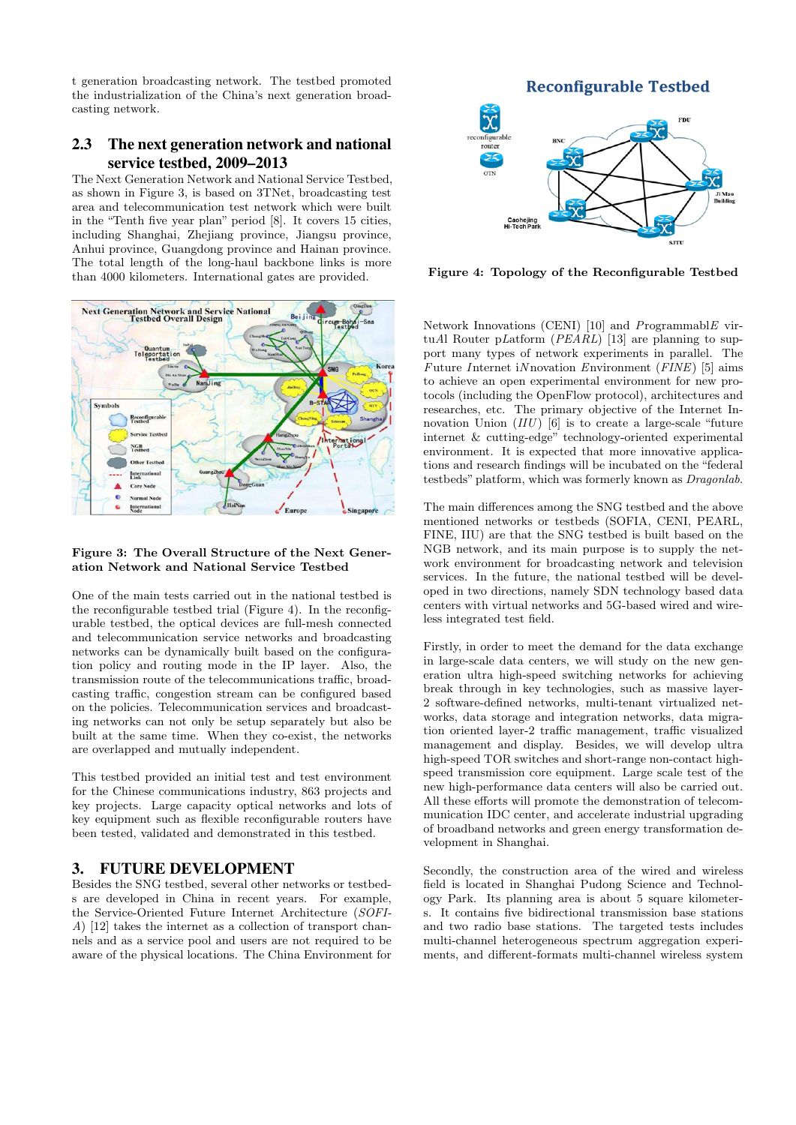t generation broadcasting network. The testbed promoted the industrialization of the China's next generation broadcasting network.

# 2.3 The next generation network and national service testbed, 2009–2013

The Next Generation Network and National Service Testbed, as shown in Figure 3, is based on 3TNet, broadcasting test area and telecommunication test network which were built in the "Tenth five year plan" period [8]. It covers 15 cities, including Shanghai, Zhejiang province, Jiangsu province, Anhui province, Guangdong province and Hainan province. The total length of the long-haul backbone links is more than 4000 kilometers. International gates are provided.



#### Figure 3: The Overall Structure of the Next Generation Network and National Service Testbed

One of the main tests carried out in the national testbed is the reconfigurable testbed trial (Figure 4). In the reconfigurable testbed, the optical devices are full-mesh connected and telecommunication service networks and broadcasting networks can be dynamically built based on the configuration policy and routing mode in the IP layer. Also, the transmission route of the telecommunications traffic, broadcasting traffic, congestion stream can be configured based on the policies. Telecommunication services and broadcasting networks can not only be setup separately but also be built at the same time. When they co-exist, the networks are overlapped and mutually independent.

This testbed provided an initial test and test environment for the Chinese communications industry, 863 projects and key projects. Large capacity optical networks and lots of key equipment such as flexible reconfigurable routers have been tested, validated and demonstrated in this testbed.

# 3. FUTURE DEVELOPMENT

Besides the SNG testbed, several other networks or testbeds are developed in China in recent years. For example, the Service-Oriented Future Internet Architecture (SOFI-A) [12] takes the internet as a collection of transport channels and as a service pool and users are not required to be aware of the physical locations. The China Environment for



Figure 4: Topology of the Reconfigurable Testbed

Network Innovations (CENI)  $[10]$  and ProgrammablE virtuAl Router pLatform  $(PEARL)$  [13] are planning to support many types of network experiments in parallel. The Future Internet iN novation Environment ( $FINE$ ) [5] aims to achieve an open experimental environment for new protocols (including the OpenFlow protocol), architectures and researches, etc. The primary objective of the Internet Innovation Union  $(III)$  [6] is to create a large-scale "future" internet & cutting-edge" technology-oriented experimental environment. It is expected that more innovative applications and research findings will be incubated on the "federal testbeds" platform, which was formerly known as Dragonlab.

The main differences among the SNG testbed and the above mentioned networks or testbeds (SOFIA, CENI, PEARL, FINE, IIU) are that the SNG testbed is built based on the NGB network, and its main purpose is to supply the network environment for broadcasting network and television services. In the future, the national testbed will be developed in two directions, namely SDN technology based data centers with virtual networks and 5G-based wired and wireless integrated test field.

Firstly, in order to meet the demand for the data exchange in large-scale data centers, we will study on the new generation ultra high-speed switching networks for achieving break through in key technologies, such as massive layer-2 software-defined networks, multi-tenant virtualized networks, data storage and integration networks, data migration oriented layer-2 traffic management, traffic visualized management and display. Besides, we will develop ultra high-speed TOR switches and short-range non-contact highspeed transmission core equipment. Large scale test of the new high-performance data centers will also be carried out. All these efforts will promote the demonstration of telecommunication IDC center, and accelerate industrial upgrading of broadband networks and green energy transformation development in Shanghai.

Secondly, the construction area of the wired and wireless field is located in Shanghai Pudong Science and Technology Park. Its planning area is about 5 square kilometers. It contains five bidirectional transmission base stations and two radio base stations. The targeted tests includes multi-channel heterogeneous spectrum aggregation experiments, and different-formats multi-channel wireless system